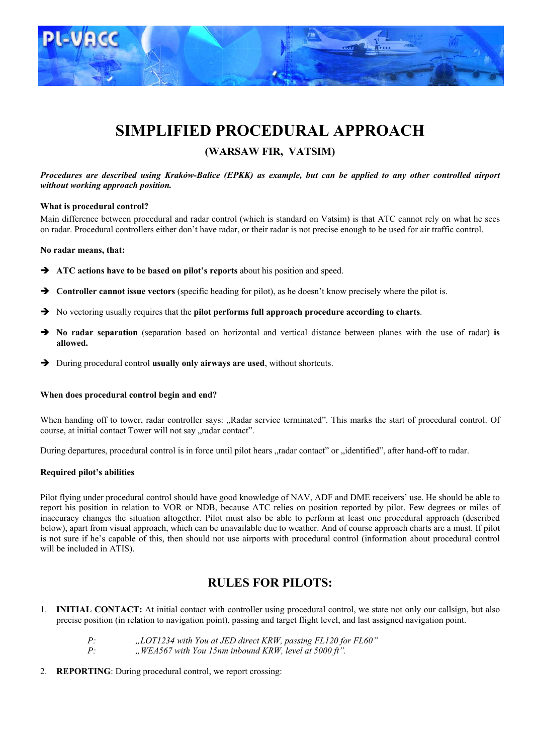

# **SIMPLIFIED PROCEDURAL APPROACH**

### **(WARSAW FIR, VATSIM)**

#### *Procedures are described using Kraków-Balice (EPKK) as example, but can be applied to any other controlled airport without working approach position.*

#### **What is procedural control?**

Main difference between procedural and radar control (which is standard on Vatsim) is that ATC cannot rely on what he sees on radar. Procedural controllers either don't have radar, or their radar is not precise enough to be used for air traffic control.

#### **No radar means, that:**

- $\rightarrow$  ATC actions have to be based on pilot's reports about his position and speed.
- **→** Controller cannot issue vectors (specific heading for pilot), as he doesn't know precisely where the pilot is.
- $\rightarrow$  No vectoring usually requires that the **pilot performs full approach procedure according to charts**.
- Î **No radar separation** (separation based on horizontal and vertical distance between planes with the use of radar) **is allowed.**
- $\rightarrow$  During procedural control **usually only airways are used**, without shortcuts.

#### **When does procedural control begin and end?**

When handing off to tower, radar controller says: "Radar service terminated". This marks the start of procedural control. Of course, at initial contact Tower will not say "radar contact".

During departures, procedural control is in force until pilot hears "radar contact" or "identified", after hand-off to radar.

#### **Required pilot's abilities**

Pilot flying under procedural control should have good knowledge of NAV, ADF and DME receivers' use. He should be able to report his position in relation to VOR or NDB, because ATC relies on position reported by pilot. Few degrees or miles of inaccuracy changes the situation altogether. Pilot must also be able to perform at least one procedural approach (described below), apart from visual approach, which can be unavailable due to weather. And of course approach charts are a must. If pilot is not sure if he's capable of this, then should not use airports with procedural control (information about procedural control will be included in ATIS).

### **RULES FOR PILOTS:**

- 1. **INITIAL CONTACT:** At initial contact with controller using procedural control, we state not only our callsign, but also precise position (in relation to navigation point), passing and target flight level, and last assigned navigation point.
	- *P: "LOT1234 with You at JED direct KRW, passing FL120 for FL60"*
	- *P: "WEA567 with You 15nm inbound KRW, level at 5000 ft".*
- 2. **REPORTING**: During procedural control, we report crossing: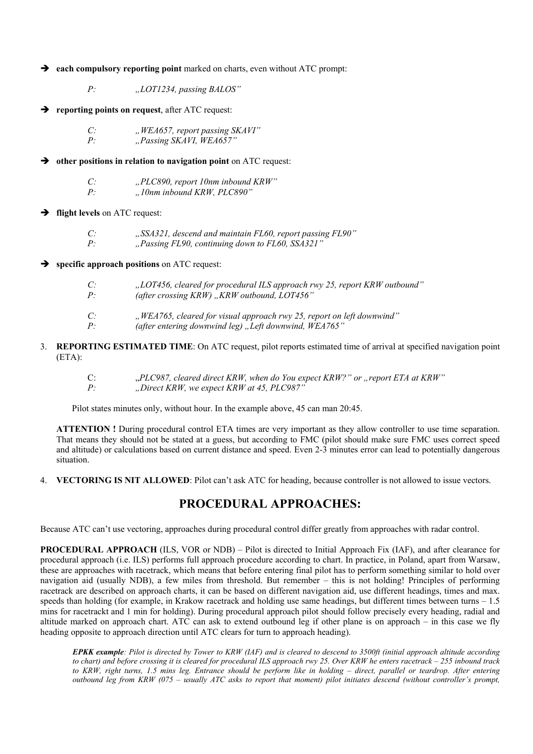$\rightarrow$  each compulsory reporting point marked on charts, even without ATC prompt:

*P: "LOT1234, passing BALOS"*

 $\rightarrow$  reporting points on request, after ATC request:

*C:* , *WEA657, report passing SKAVI*"<br>*P* Passing SKAVI WEA657" *P: "Passing SKAVI, WEA657"*

 $\rightarrow$  other positions in relation to navigation point on ATC request:

*C: "PLC890, report 10nm inbound KRW" P: "10nm inbound KRW, PLC890"*

#### $\rightarrow$  **flight levels** on ATC request:

*C: "SSA321, descend and maintain FL60, report passing FL90" P: "Passing FL90, continuing down to FL60, SSA321"*

#### **specific approach positions** on ATC request:

- *C: "LOT456, cleared for procedural ILS approach rwy 25, report KRW outbound" P*: (after crossing KRW), KRW outbound, LOT456"
- *C: "WEA765, cleared for visual approach rwy 25, report on left downwind" P: (after entering downwind leg) "Left downwind, WEA765"*
- 3. **REPORTING ESTIMATED TIME**: On ATC request, pilot reports estimated time of arrival at specified navigation point (ETA):
	- C: *PLC987, cleared direct KRW, when do You expect KRW?" or "report ETA at KRW"*, *P*. *P: "Direct KRW, we expect KRW at 45, PLC987"*

Pilot states minutes only, without hour. In the example above, 45 can man 20:45.

**ATTENTION !** During procedural control ETA times are very important as they allow controller to use time separation. That means they should not be stated at a guess, but according to FMC (pilot should make sure FMC uses correct speed and altitude) or calculations based on current distance and speed. Even 2-3 minutes error can lead to potentially dangerous situation.

4. **VECTORING IS NIT ALLOWED**: Pilot can't ask ATC for heading, because controller is not allowed to issue vectors.

### **PROCEDURAL APPROACHES:**

Because ATC can't use vectoring, approaches during procedural control differ greatly from approaches with radar control.

**PROCEDURAL APPROACH** (ILS, VOR or NDB) – Pilot is directed to Initial Approach Fix (IAF), and after clearance for procedural approach (i.e. ILS) performs full approach procedure according to chart. In practice, in Poland, apart from Warsaw, these are approaches with racetrack, which means that before entering final pilot has to perform something similar to hold over navigation aid (usually NDB), a few miles from threshold. But remember – this is not holding! Principles of performing racetrack are described on approach charts, it can be based on different navigation aid, use different headings, times and max. speeds than holding (for example, in Krakow racetrack and holding use same headings, but different times between turns – 1.5 mins for racetrackt and 1 min for holding). During procedural approach pilot should follow precisely every heading, radial and altitude marked on approach chart. ATC can ask to extend outbound leg if other plane is on approach – in this case we fly heading opposite to approach direction until ATC clears for turn to approach heading).

*EPKK example: Pilot is directed by Tower to KRW (IAF) and is cleared to descend to 3500ft (initial approach altitude according to chart) and before crossing it is cleared for procedural ILS approach rwy 25. Over KRW he enters racetrack – 255 inbound track to KRW, right turns, 1.5 mins leg. Entrance should be perform like in holding – direct, parallel or teardrop. After entering outbound leg from KRW (075 – usually ATC asks to report that moment) pilot initiates descend (without controller's prompt,*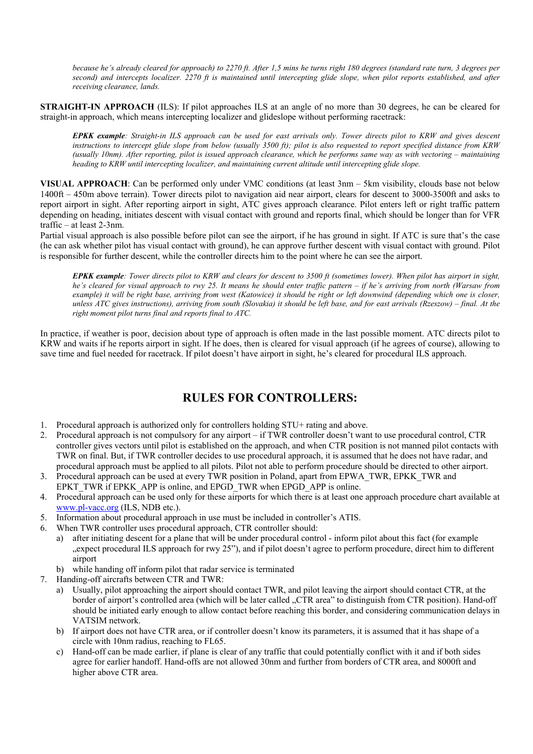*because he's already cleared for approach) to 2270 ft. After 1,5 mins he turns right 180 degrees (standard rate turn, 3 degrees per second) and intercepts localizer. 2270 ft is maintained until intercepting glide slope, when pilot reports established, and after receiving clearance, lands.*

**STRAIGHT-IN APPROACH** (ILS): If pilot approaches ILS at an angle of no more than 30 degrees, he can be cleared for straight-in approach, which means intercepting localizer and glideslope without performing racetrack:

*EPKK example: Straight-in ILS approach can be used for east arrivals only. Tower directs pilot to KRW and gives descent instructions to intercept glide slope from below (usually 3500 ft); pilot is also requested to report specified distance from KRW (usually 10nm). After reporting, pilot is issued approach clearance, which he performs same way as with vectoring – maintaining heading to KRW until intercepting localizer, and maintaining current altitude until intercepting glide slope.*

**VISUAL APPROACH**: Can be performed only under VMC conditions (at least 3nm – 5km visibility, clouds base not below 1400ft – 450m above terrain). Tower directs pilot to navigation aid near airport, clears for descent to 3000-3500ft and asks to report airport in sight. After reporting airport in sight, ATC gives approach clearance. Pilot enters left or right traffic pattern depending on heading, initiates descent with visual contact with ground and reports final, which should be longer than for VFR traffic – at least 2-3nm.

Partial visual approach is also possible before pilot can see the airport, if he has ground in sight. If ATC is sure that's the case (he can ask whether pilot has visual contact with ground), he can approve further descent with visual contact with ground. Pilot is responsible for further descent, while the controller directs him to the point where he can see the airport.

*EPKK example: Tower directs pilot to KRW and clears for descent to 3500 ft (sometimes lower). When pilot has airport in sight, he's cleared for visual approach to rwy 25. It means he should enter traffic pattern – if he's arriving from north (Warsaw from example) it will be right base, arriving from west (Katowice) it should be right or left downwind (depending which one is closer, unless ATC gives instructions), arriving from south (Slovakia) it should be left base, and for east arrivals (Rzeszow) – final. At the right moment pilot turns final and reports final to ATC.*

In practice, if weather is poor, decision about type of approach is often made in the last possible moment. ATC directs pilot to KRW and waits if he reports airport in sight. If he does, then is cleared for visual approach (if he agrees of course), allowing to save time and fuel needed for racetrack. If pilot doesn't have airport in sight, he's cleared for procedural ILS approach.

## **RULES FOR CONTROLLERS:**

- 1. Procedural approach is authorized only for controllers holding STU+ rating and above.
- 2. Procedural approach is not compulsory for any airport if TWR controller doesn't want to use procedural control, CTR controller gives vectors until pilot is established on the approach, and when CTR position is not manned pilot contacts with TWR on final. But, if TWR controller decides to use procedural approach, it is assumed that he does not have radar, and procedural approach must be applied to all pilots. Pilot not able to perform procedure should be directed to other airport.
- 3. Procedural approach can be used at every TWR position in Poland, apart from EPWA\_TWR, EPKK\_TWR and EPKT\_TWR if EPKK\_APP is online, and EPGD\_TWR when EPGD\_APP is online.
- 4. Procedural approach can be used only for these airports for which there is at least one approach procedure chart available at [www.pl-vacc.org](http://www.pl-vacc.org/) (ILS, NDB etc.).
- 5. Information about procedural approach in use must be included in controller's ATIS.
- 6. When TWR controller uses procedural approach, CTR controller should:
	- a) after initiating descent for a plane that will be under procedural control inform pilot about this fact (for example "expect procedural ILS approach for rwy 25"), and if pilot doesn't agree to perform procedure, direct him to different airport
	- b) while handing off inform pilot that radar service is terminated
- 7. Handing-off aircrafts between CTR and TWR:
	- Usually, pilot approaching the airport should contact TWR, and pilot leaving the airport should contact CTR, at the border of airport's controlled area (which will be later called "CTR area" to distinguish from CTR position). Hand-off should be initiated early enough to allow contact before reaching this border, and considering communication delays in VATSIM network.
	- b) If airport does not have CTR area, or if controller doesn't know its parameters, it is assumed that it has shape of a circle with 10nm radius, reaching to FL65.
	- c) Hand-off can be made earlier, if plane is clear of any traffic that could potentially conflict with it and if both sides agree for earlier handoff. Hand-offs are not allowed 30nm and further from borders of CTR area, and 8000ft and higher above CTR area.